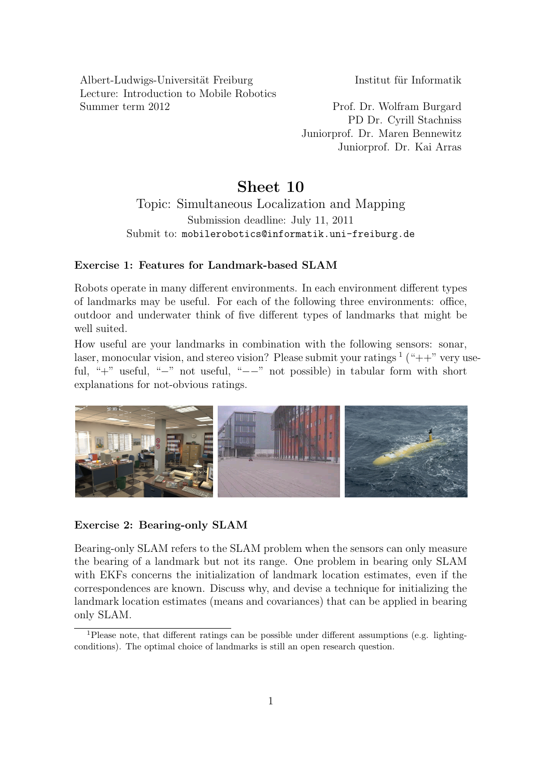Albert-Ludwigs-Universität Freiburg Institut für Informatik Lecture: Introduction to Mobile Robotics Summer term 2012 Prof. Dr. Wolfram Burgard

PD Dr. Cyrill Stachniss Juniorprof. Dr. Maren Bennewitz Juniorprof. Dr. Kai Arras

## Sheet 10

Topic: Simultaneous Localization and Mapping Submission deadline: July 11, 2011 Submit to: mobilerobotics@informatik.uni-freiburg.de

## Exercise 1: Features for Landmark-based SLAM

Robots operate in many different environments. In each environment different types of landmarks may be useful. For each of the following three environments: office, outdoor and underwater think of five different types of landmarks that might be well suited.

How useful are your landmarks in combination with the following sensors: sonar, laser, monocular vision, and stereo vision? Please submit your ratings  $\frac{1}{1}$  $\frac{1}{1}$  $\frac{1}{1}$  ("++" very useful, "+" useful, "−" not useful, "−−" not possible) in tabular form with short explanations for not-obvious ratings.



## Exercise 2: Bearing-only SLAM

Bearing-only SLAM refers to the SLAM problem when the sensors can only measure the bearing of a landmark but not its range. One problem in bearing only SLAM with EKFs concerns the initialization of landmark location estimates, even if the correspondences are known. Discuss why, and devise a technique for initializing the landmark location estimates (means and covariances) that can be applied in bearing only SLAM.

<span id="page-0-0"></span><sup>1</sup>Please note, that different ratings can be possible under different assumptions (e.g. lightingconditions). The optimal choice of landmarks is still an open research question.